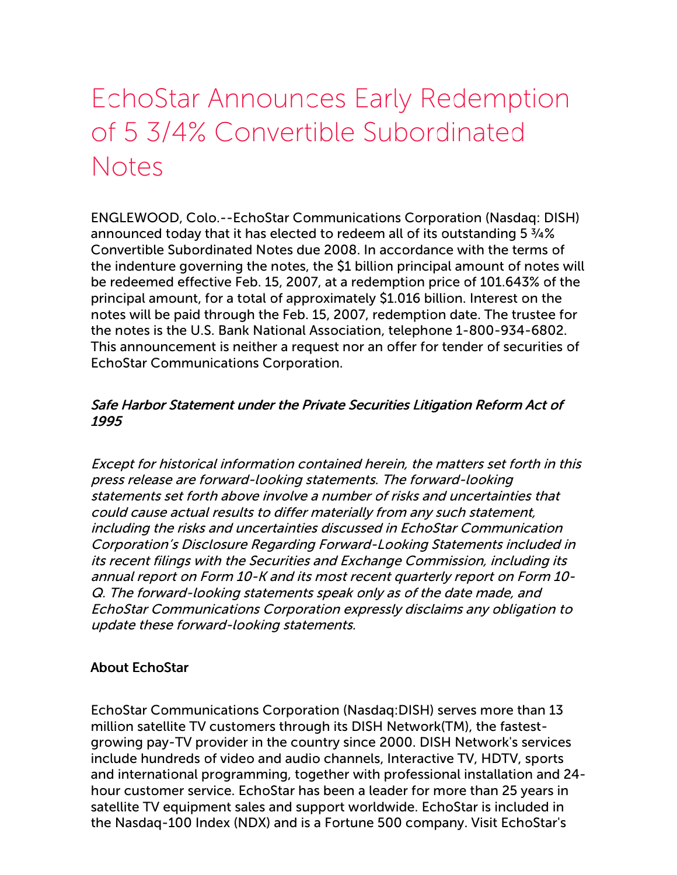## EchoStar Announces Early Redemption of 5 3/4% Convertible Subordinated **Notes**

ENGLEWOOD, Colo.--EchoStar Communications Corporation (Nasdaq: DISH) announced today that it has elected to redeem all of its outstanding 5 ¾% Convertible Subordinated Notes due 2008. In accordance with the terms of the indenture governing the notes, the \$1 billion principal amount of notes will be redeemed effective Feb. 15, 2007, at a redemption price of 101.643% of the principal amount, for a total of approximately \$1.016 billion. Interest on the notes will be paid through the Feb. 15, 2007, redemption date. The trustee for the notes is the U.S. Bank National Association, telephone 1-800-934-6802. This announcement is neither a request nor an offer for tender of securities of EchoStar Communications Corporation.

## Safe Harbor Statement under the Private Securities Litigation Reform Act of 1995

Except for historical information contained herein, the matters set forth in this press release are forward-looking statements. The forward-looking statements set forth above involve a number of risks and uncertainties that could cause actual results to differ materially from any such statement, including the risks and uncertainties discussed in EchoStar Communication Corporation's Disclosure Regarding Forward-Looking Statements included in its recent filings with the Securities and Exchange Commission, including its annual report on Form 10-K and its most recent quarterly report on Form 10- Q. The forward-looking statements speak only as of the date made, and EchoStar Communications Corporation expressly disclaims any obligation to update these forward-looking statements.

## About EchoStar

EchoStar Communications Corporation (Nasdaq:DISH) serves more than 13 million satellite TV customers through its DISH Network(TM), the fastestgrowing pay-TV provider in the country since 2000. DISH Network's services include hundreds of video and audio channels, Interactive TV, HDTV, sports and international programming, together with professional installation and 24 hour customer service. EchoStar has been a leader for more than 25 years in satellite TV equipment sales and support worldwide. EchoStar is included in the Nasdaq-100 Index (NDX) and is a Fortune 500 company. Visit EchoStar's